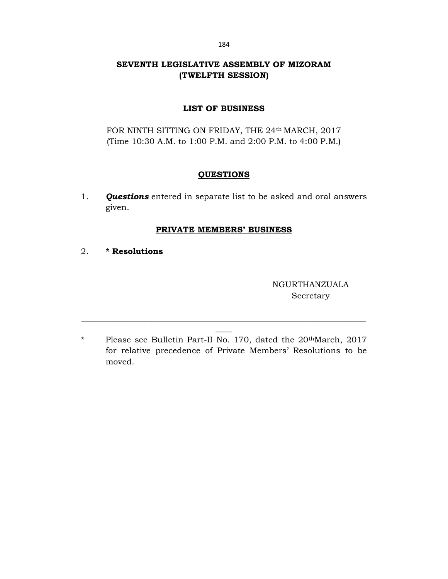# SEVENTH LEGISLATIVE ASSEMBLY OF MIZORAM (TWELFTH SESSION)

# LIST OF BUSINESS

FOR NINTH SITTING ON FRIDAY, THE 24<sup>th</sup> MARCH, 2017 (Time 10:30 A.M. to 1:00 P.M. and 2:00 P.M. to 4:00 P.M.)

## **QUESTIONS**

1. **Questions** entered in separate list to be asked and oral answers given.

## PRIVATE MEMBERS' BUSINESS

2. \* Resolutions

NGURTHANZUALA Secretary

\* Please see Bulletin Part-II No. 170, dated the 20thMarch, 2017 for relative precedence of Private Members' Resolutions to be moved.

\_\_\_\_\_\_\_\_\_\_\_\_\_\_\_\_\_\_\_\_\_\_\_\_\_\_\_\_\_\_\_\_\_\_\_\_\_\_\_\_\_\_\_\_\_\_\_\_\_\_\_\_\_\_\_\_\_\_\_\_\_\_\_\_\_\_\_\_\_  $\overline{\phantom{a}}$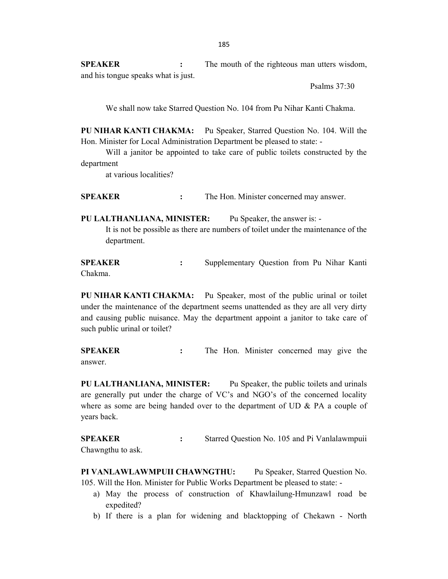SPEAKER : The mouth of the righteous man utters wisdom, and his tongue speaks what is just.

Psalms 37:30

We shall now take Starred Question No. 104 from Pu Nihar Kanti Chakma.

PU NIHAR KANTI CHAKMA: Pu Speaker, Starred Question No. 104. Will the Hon. Minister for Local Administration Department be pleased to state: -

 Will a janitor be appointed to take care of public toilets constructed by the department

at various localities?

SPEAKER : The Hon. Minister concerned may answer.

PU LALTHANLIANA, MINISTER: Pu Speaker, the answer is: -

 It is not be possible as there are numbers of toilet under the maintenance of the department.

SPEAKER : Supplementary Question from Pu Nihar Kanti Chakma.

PU NIHAR KANTI CHAKMA: Pu Speaker, most of the public urinal or toilet under the maintenance of the department seems unattended as they are all very dirty and causing public nuisance. May the department appoint a janitor to take care of such public urinal or toilet?

SPEAKER : The Hon. Minister concerned may give the answer.

PU LALTHANLIANA, MINISTER: Pu Speaker, the public toilets and urinals are generally put under the charge of VC's and NGO's of the concerned locality where as some are being handed over to the department of UD & PA a couple of years back.

SPEAKER : Starred Question No. 105 and Pi Vanlalawmpuii Chawngthu to ask.

PI VANLAWLAWMPUII CHAWNGTHU: Pu Speaker, Starred Question No. 105. Will the Hon. Minister for Public Works Department be pleased to state: -

- a) May the process of construction of Khawlailung-Hmunzawl road be expedited?
- b) If there is a plan for widening and blacktopping of Chekawn North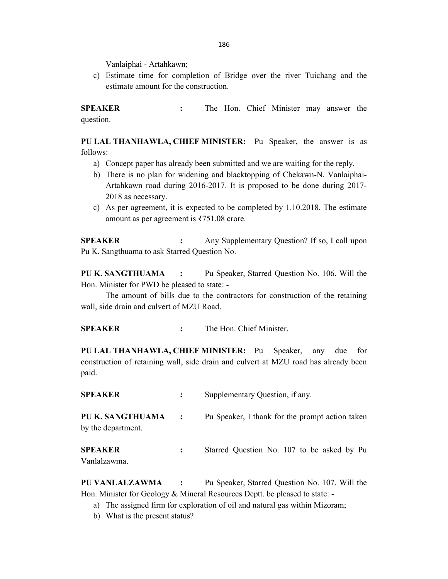Vanlaiphai - Artahkawn;

c) Estimate time for completion of Bridge over the river Tuichang and the estimate amount for the construction.

SPEAKER : The Hon. Chief Minister may answer the question.

PU LAL THANHAWLA, CHIEF MINISTER: Pu Speaker, the answer is as follows:

- a) Concept paper has already been submitted and we are waiting for the reply.
- b) There is no plan for widening and blacktopping of Chekawn-N. Vanlaiphai-Artahkawn road during 2016-2017. It is proposed to be done during 2017- 2018 as necessary.
- c) As per agreement, it is expected to be completed by 1.10.2018. The estimate amount as per agreement is ₹751.08 crore.

SPEAKER : Any Supplementary Question? If so, I call upon Pu K. Sangthuama to ask Starred Question No.

PU K. SANGTHUAMA : Pu Speaker, Starred Question No. 106. Will the Hon. Minister for PWD be pleased to state: -

 The amount of bills due to the contractors for construction of the retaining wall, side drain and culvert of MZU Road.

SPEAKER : The Hon. Chief Minister.

PU LAL THANHAWLA, CHIEF MINISTER: Pu Speaker, any due for construction of retaining wall, side drain and culvert at MZU road has already been paid.

| <b>SPEAKER</b>                         |                | Supplementary Question, if any.                 |
|----------------------------------------|----------------|-------------------------------------------------|
| PU K. SANGTHUAMA<br>by the department. | $\ddot{\cdot}$ | Pu Speaker, I thank for the prompt action taken |
| <b>SPEAKER</b><br>Vanlalzawma.         |                | Starred Question No. 107 to be asked by Pu      |

PU VANLALZAWMA : Pu Speaker, Starred Question No. 107. Will the Hon. Minister for Geology & Mineral Resources Deptt. be pleased to state: -

- a) The assigned firm for exploration of oil and natural gas within Mizoram;
- b) What is the present status?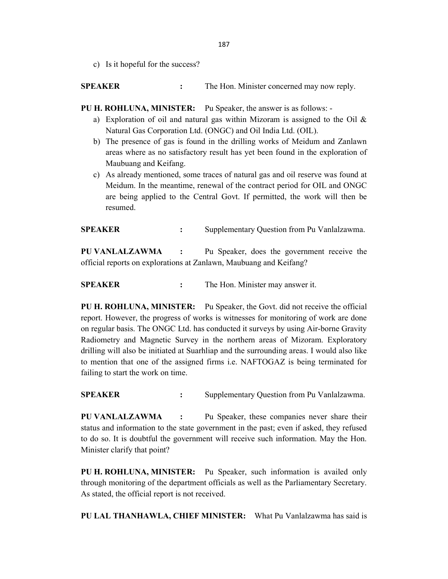c) Is it hopeful for the success?

SPEAKER : The Hon. Minister concerned may now reply.

PU H. ROHLUNA, MINISTER: Pu Speaker, the answer is as follows: -

- a) Exploration of oil and natural gas within Mizoram is assigned to the Oil & Natural Gas Corporation Ltd. (ONGC) and Oil India Ltd. (OIL).
- b) The presence of gas is found in the drilling works of Meidum and Zanlawn areas where as no satisfactory result has yet been found in the exploration of Maubuang and Keifang.
- c) As already mentioned, some traces of natural gas and oil reserve was found at Meidum. In the meantime, renewal of the contract period for OIL and ONGC are being applied to the Central Govt. If permitted, the work will then be resumed.

SPEAKER : Supplementary Question from Pu Vanlalzawma.

PU VANLALZAWMA : Pu Speaker, does the government receive the official reports on explorations at Zanlawn, Maubuang and Keifang?

SPEAKER : The Hon. Minister may answer it.

PU H. ROHLUNA, MINISTER: Pu Speaker, the Govt. did not receive the official report. However, the progress of works is witnesses for monitoring of work are done on regular basis. The ONGC Ltd. has conducted it surveys by using Air-borne Gravity Radiometry and Magnetic Survey in the northern areas of Mizoram. Exploratory drilling will also be initiated at Suarhliap and the surrounding areas. I would also like to mention that one of the assigned firms i.e. NAFTOGAZ is being terminated for failing to start the work on time.

SPEAKER : Supplementary Question from Pu Vanlalzawma.

PU VANLALZAWMA : Pu Speaker, these companies never share their status and information to the state government in the past; even if asked, they refused to do so. It is doubtful the government will receive such information. May the Hon. Minister clarify that point?

PU H. ROHLUNA, MINISTER: Pu Speaker, such information is availed only through monitoring of the department officials as well as the Parliamentary Secretary. As stated, the official report is not received.

PU LAL THANHAWLA, CHIEF MINISTER: What Pu Vanlalzawma has said is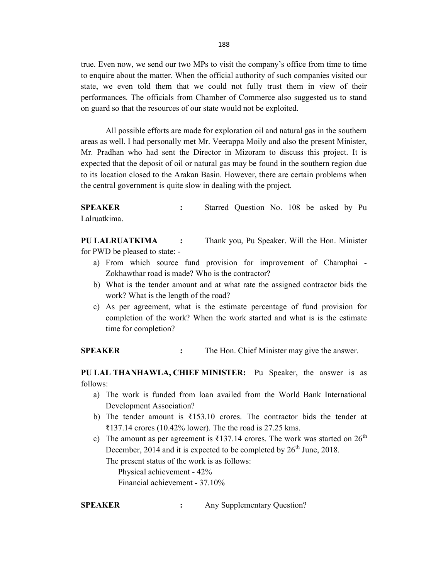true. Even now, we send our two MPs to visit the company's office from time to time to enquire about the matter. When the official authority of such companies visited our state, we even told them that we could not fully trust them in view of their performances. The officials from Chamber of Commerce also suggested us to stand on guard so that the resources of our state would not be exploited.

 All possible efforts are made for exploration oil and natural gas in the southern areas as well. I had personally met Mr. Veerappa Moily and also the present Minister, Mr. Pradhan who had sent the Director in Mizoram to discuss this project. It is expected that the deposit of oil or natural gas may be found in the southern region due to its location closed to the Arakan Basin. However, there are certain problems when the central government is quite slow in dealing with the project.

SPEAKER : Starred Question No. 108 be asked by Pu Lalruatkima.

PU LALRUATKIMA : Thank you, Pu Speaker. Will the Hon. Minister for PWD be pleased to state: -

- a) From which source fund provision for improvement of Champhai Zokhawthar road is made? Who is the contractor?
- b) What is the tender amount and at what rate the assigned contractor bids the work? What is the length of the road?
- c) As per agreement, what is the estimate percentage of fund provision for completion of the work? When the work started and what is is the estimate time for completion?

SPEAKER : The Hon. Chief Minister may give the answer.

PU LAL THANHAWLA, CHIEF MINISTER: Pu Speaker, the answer is as follows:

- a) The work is funded from loan availed from the World Bank International Development Association?
- b) The tender amount is ₹153.10 crores. The contractor bids the tender at ₹137.14 crores (10.42% lower). The the road is 27.25 kms.
- c) The amount as per agreement is ₹137.14 crores. The work was started on  $26<sup>th</sup>$ December, 2014 and it is expected to be completed by  $26<sup>th</sup>$  June, 2018.

The present status of the work is as follows:

 Physical achievement - 42% Financial achievement - 37.10%

SPEAKER : Any Supplementary Question?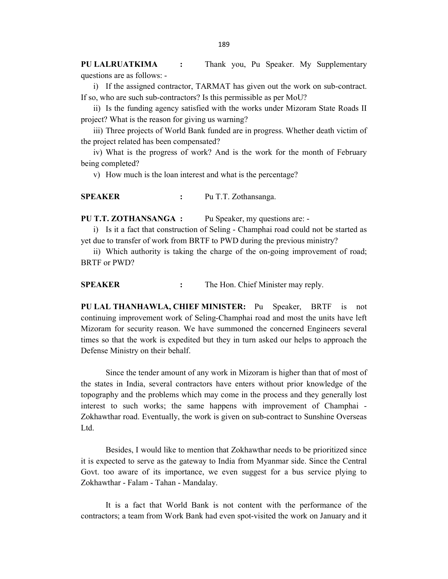PU LALRUATKIMA : Thank you, Pu Speaker. My Supplementary questions are as follows: -

i) If the assigned contractor, TARMAT has given out the work on sub-contract. If so, who are such sub-contractors? Is this permissible as per MoU?

ii) Is the funding agency satisfied with the works under Mizoram State Roads II project? What is the reason for giving us warning?

iii) Three projects of World Bank funded are in progress. Whether death victim of the project related has been compensated?

iv) What is the progress of work? And is the work for the month of February being completed?

v) How much is the loan interest and what is the percentage?

SPEAKER : Pu T.T. Zothansanga.

PU T.T. ZOTHANSANGA : Pu Speaker, my questions are: -

i) Is it a fact that construction of Seling - Champhai road could not be started as yet due to transfer of work from BRTF to PWD during the previous ministry?

ii) Which authority is taking the charge of the on-going improvement of road; BRTF or PWD?

SPEAKER : The Hon. Chief Minister may reply.

PU LAL THANHAWLA, CHIEF MINISTER: Pu Speaker, BRTF is not continuing improvement work of Seling-Champhai road and most the units have left Mizoram for security reason. We have summoned the concerned Engineers several times so that the work is expedited but they in turn asked our helps to approach the Defense Ministry on their behalf.

 Since the tender amount of any work in Mizoram is higher than that of most of the states in India, several contractors have enters without prior knowledge of the topography and the problems which may come in the process and they generally lost interest to such works; the same happens with improvement of Champhai - Zokhawthar road. Eventually, the work is given on sub-contract to Sunshine Overseas Ltd.

 Besides, I would like to mention that Zokhawthar needs to be prioritized since it is expected to serve as the gateway to India from Myanmar side. Since the Central Govt. too aware of its importance, we even suggest for a bus service plying to Zokhawthar - Falam - Tahan - Mandalay.

 It is a fact that World Bank is not content with the performance of the contractors; a team from Work Bank had even spot-visited the work on January and it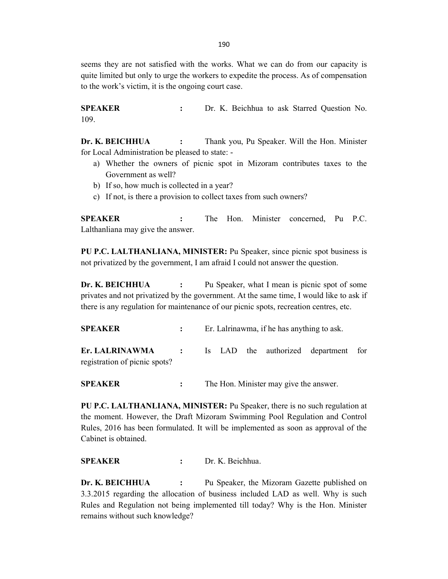190

seems they are not satisfied with the works. What we can do from our capacity is quite limited but only to urge the workers to expedite the process. As of compensation to the work's victim, it is the ongoing court case.

SPEAKER : Dr. K. Beichhua to ask Starred Question No. 109.

Dr. K. BEICHHUA : Thank you, Pu Speaker. Will the Hon. Minister for Local Administration be pleased to state: -

- a) Whether the owners of picnic spot in Mizoram contributes taxes to the Government as well?
- b) If so, how much is collected in a year?
- c) If not, is there a provision to collect taxes from such owners?

SPEAKER : The Hon. Minister concerned, Pu P.C. Lalthanliana may give the answer.

PU P.C. LALTHANLIANA, MINISTER: Pu Speaker, since picnic spot business is not privatized by the government, I am afraid I could not answer the question.

Dr. K. BEICHHUA : Pu Speaker, what I mean is picnic spot of some privates and not privatized by the government. At the same time, I would like to ask if there is any regulation for maintenance of our picnic spots, recreation centres, etc.

SPEAKER : Er. Lalrinawma, if he has anything to ask.

Er. LALRINAWMA : Is LAD the authorized department for registration of picnic spots?

SPEAKER : The Hon. Minister may give the answer.

PU P.C. LALTHANLIANA, MINISTER: Pu Speaker, there is no such regulation at the moment. However, the Draft Mizoram Swimming Pool Regulation and Control Rules, 2016 has been formulated. It will be implemented as soon as approval of the Cabinet is obtained.

SPEAKER : Dr. K. Beichhua.

Dr. K. BEICHHUA : Pu Speaker, the Mizoram Gazette published on 3.3.2015 regarding the allocation of business included LAD as well. Why is such Rules and Regulation not being implemented till today? Why is the Hon. Minister remains without such knowledge?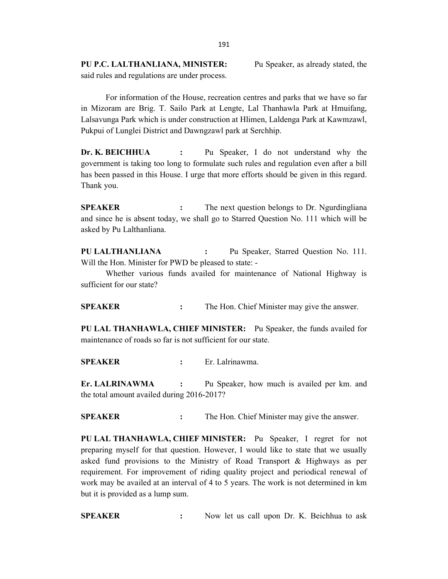PU P.C. LALTHANLIANA, MINISTER: Pu Speaker, as already stated, the said rules and regulations are under process.

 For information of the House, recreation centres and parks that we have so far in Mizoram are Brig. T. Sailo Park at Lengte, Lal Thanhawla Park at Hmuifang, Lalsavunga Park which is under construction at Hlimen, Laldenga Park at Kawmzawl, Pukpui of Lunglei District and Dawngzawl park at Serchhip.

Dr. K. BEICHHUA : Pu Speaker, I do not understand why the government is taking too long to formulate such rules and regulation even after a bill has been passed in this House. I urge that more efforts should be given in this regard. Thank you.

**SPEAKER** : The next question belongs to Dr. Ngurdingliana and since he is absent today, we shall go to Starred Question No. 111 which will be asked by Pu Lalthanliana.

PU LALTHANLIANA : Pu Speaker, Starred Question No. 111. Will the Hon. Minister for PWD be pleased to state: -

 Whether various funds availed for maintenance of National Highway is sufficient for our state?

SPEAKER : The Hon. Chief Minister may give the answer.

PU LAL THANHAWLA, CHIEF MINISTER: Pu Speaker, the funds availed for maintenance of roads so far is not sufficient for our state.

SPEAKER : Er. Lalrinawma.

Er. LALRINAWMA : Pu Speaker, how much is availed per km. and the total amount availed during 2016-2017?

**SPEAKER** : The Hon. Chief Minister may give the answer.

PU LAL THANHAWLA, CHIEF MINISTER: Pu Speaker, I regret for not preparing myself for that question. However, I would like to state that we usually asked fund provisions to the Ministry of Road Transport & Highways as per requirement. For improvement of riding quality project and periodical renewal of work may be availed at an interval of 4 to 5 years. The work is not determined in km but it is provided as a lump sum.

SPEAKER : Now let us call upon Dr. K. Beichhua to ask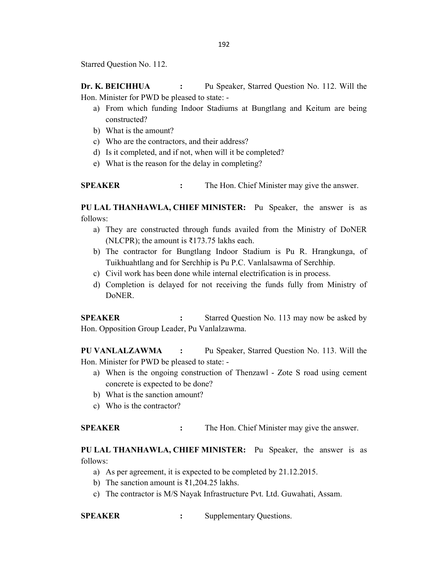Starred Question No. 112.

Dr. K. BEICHHUA : Pu Speaker, Starred Question No. 112. Will the Hon. Minister for PWD be pleased to state: -

- a) From which funding Indoor Stadiums at Bungtlang and Keitum are being constructed?
- b) What is the amount?
- c) Who are the contractors, and their address?
- d) Is it completed, and if not, when will it be completed?
- e) What is the reason for the delay in completing?

**SPEAKER** : The Hon. Chief Minister may give the answer.

PU LAL THANHAWLA, CHIEF MINISTER: Pu Speaker, the answer is as follows:

- a) They are constructed through funds availed from the Ministry of DoNER (NLCPR); the amount is  $\overline{\xi}$ 173.75 lakhs each.
- b) The contractor for Bungtlang Indoor Stadium is Pu R. Hrangkunga, of Tuikhuahtlang and for Serchhip is Pu P.C. Vanlalsawma of Serchhip.
- c) Civil work has been done while internal electrification is in process.
- d) Completion is delayed for not receiving the funds fully from Ministry of DoNER.

SPEAKER : Starred Question No. 113 may now be asked by Hon. Opposition Group Leader, Pu Vanlalzawma.

PU VANLALZAWMA : Pu Speaker, Starred Question No. 113. Will the Hon. Minister for PWD be pleased to state: -

- a) When is the ongoing construction of Thenzawl Zote S road using cement concrete is expected to be done?
- b) What is the sanction amount?
- c) Who is the contractor?

SPEAKER : The Hon. Chief Minister may give the answer.

PU LAL THANHAWLA, CHIEF MINISTER: Pu Speaker, the answer is as follows:

- a) As per agreement, it is expected to be completed by 21.12.2015.
- b) The sanction amount is ₹1,204.25 lakhs.
- c) The contractor is M/S Nayak Infrastructure Pvt. Ltd. Guwahati, Assam.

SPEAKER : Supplementary Questions.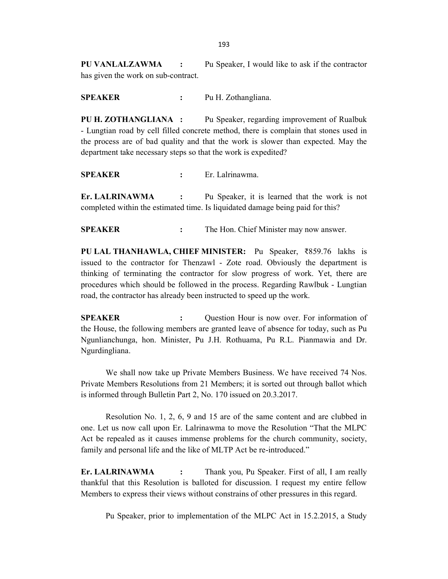PU VANLALZAWMA : Pu Speaker, I would like to ask if the contractor has given the work on sub-contract.

SPEAKER : Pu H. Zothangliana.

PU H. ZOTHANGLIANA : Pu Speaker, regarding improvement of Rualbuk - Lungtian road by cell filled concrete method, there is complain that stones used in the process are of bad quality and that the work is slower than expected. May the department take necessary steps so that the work is expedited?

SPEAKER : Er. Lalrinawma.

Er. LALRINAWMA : Pu Speaker, it is learned that the work is not completed within the estimated time. Is liquidated damage being paid for this?

**SPEAKER** : The Hon. Chief Minister may now answer.

PU LAL THANHAWLA, CHIEF MINISTER: Pu Speaker, ₹859.76 lakhs is issued to the contractor for Thenzawl - Zote road. Obviously the department is thinking of terminating the contractor for slow progress of work. Yet, there are procedures which should be followed in the process. Regarding Rawlbuk - Lungtian road, the contractor has already been instructed to speed up the work.

SPEAKER : Question Hour is now over. For information of the House, the following members are granted leave of absence for today, such as Pu Ngunlianchunga, hon. Minister, Pu J.H. Rothuama, Pu R.L. Pianmawia and Dr. Ngurdingliana.

 We shall now take up Private Members Business. We have received 74 Nos. Private Members Resolutions from 21 Members; it is sorted out through ballot which is informed through Bulletin Part 2, No. 170 issued on 20.3.2017.

 Resolution No. 1, 2, 6, 9 and 15 are of the same content and are clubbed in one. Let us now call upon Er. Lalrinawma to move the Resolution "That the MLPC Act be repealed as it causes immense problems for the church community, society, family and personal life and the like of MLTP Act be re-introduced."

Er. LALRINAWMA : Thank you, Pu Speaker. First of all, I am really thankful that this Resolution is balloted for discussion. I request my entire fellow Members to express their views without constrains of other pressures in this regard.

Pu Speaker, prior to implementation of the MLPC Act in 15.2.2015, a Study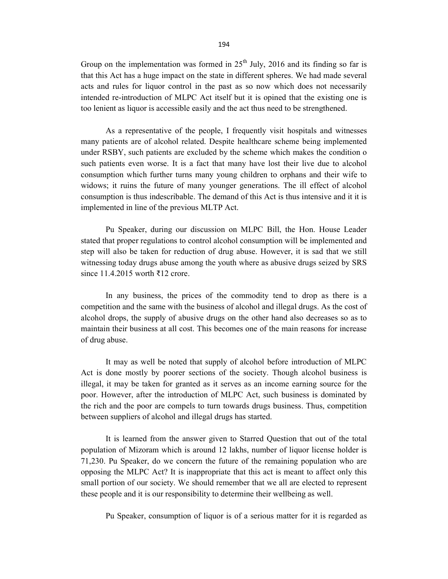Group on the implementation was formed in  $25<sup>th</sup>$  July, 2016 and its finding so far is that this Act has a huge impact on the state in different spheres. We had made several acts and rules for liquor control in the past as so now which does not necessarily intended re-introduction of MLPC Act itself but it is opined that the existing one is too lenient as liquor is accessible easily and the act thus need to be strengthened.

 As a representative of the people, I frequently visit hospitals and witnesses many patients are of alcohol related. Despite healthcare scheme being implemented under RSBY, such patients are excluded by the scheme which makes the condition o such patients even worse. It is a fact that many have lost their live due to alcohol consumption which further turns many young children to orphans and their wife to widows; it ruins the future of many younger generations. The ill effect of alcohol consumption is thus indescribable. The demand of this Act is thus intensive and it it is implemented in line of the previous MLTP Act.

 Pu Speaker, during our discussion on MLPC Bill, the Hon. House Leader stated that proper regulations to control alcohol consumption will be implemented and step will also be taken for reduction of drug abuse. However, it is sad that we still witnessing today drugs abuse among the youth where as abusive drugs seized by SRS since 11.4.2015 worth ₹12 crore.

 In any business, the prices of the commodity tend to drop as there is a competition and the same with the business of alcohol and illegal drugs. As the cost of alcohol drops, the supply of abusive drugs on the other hand also decreases so as to maintain their business at all cost. This becomes one of the main reasons for increase of drug abuse.

 It may as well be noted that supply of alcohol before introduction of MLPC Act is done mostly by poorer sections of the society. Though alcohol business is illegal, it may be taken for granted as it serves as an income earning source for the poor. However, after the introduction of MLPC Act, such business is dominated by the rich and the poor are compels to turn towards drugs business. Thus, competition between suppliers of alcohol and illegal drugs has started.

 It is learned from the answer given to Starred Question that out of the total population of Mizoram which is around 12 lakhs, number of liquor license holder is 71,230. Pu Speaker, do we concern the future of the remaining population who are opposing the MLPC Act? It is inappropriate that this act is meant to affect only this small portion of our society. We should remember that we all are elected to represent these people and it is our responsibility to determine their wellbeing as well.

Pu Speaker, consumption of liquor is of a serious matter for it is regarded as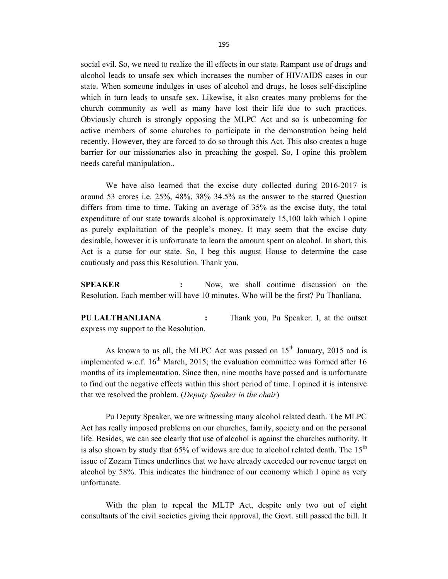social evil. So, we need to realize the ill effects in our state. Rampant use of drugs and alcohol leads to unsafe sex which increases the number of HIV/AIDS cases in our state. When someone indulges in uses of alcohol and drugs, he loses self-discipline which in turn leads to unsafe sex. Likewise, it also creates many problems for the church community as well as many have lost their life due to such practices. Obviously church is strongly opposing the MLPC Act and so is unbecoming for active members of some churches to participate in the demonstration being held recently. However, they are forced to do so through this Act. This also creates a huge barrier for our missionaries also in preaching the gospel. So, I opine this problem needs careful manipulation..

 We have also learned that the excise duty collected during 2016-2017 is around 53 crores i.e. 25%, 48%, 38% 34.5% as the answer to the starred Question differs from time to time. Taking an average of 35% as the excise duty, the total expenditure of our state towards alcohol is approximately 15,100 lakh which I opine as purely exploitation of the people's money. It may seem that the excise duty desirable, however it is unfortunate to learn the amount spent on alcohol. In short, this Act is a curse for our state. So, I beg this august House to determine the case cautiously and pass this Resolution. Thank you.

SPEAKER : Now, we shall continue discussion on the Resolution. Each member will have 10 minutes. Who will be the first? Pu Thanliana.

PU LALTHANLIANA : Thank you, Pu Speaker. I, at the outset express my support to the Resolution.

As known to us all, the MLPC Act was passed on  $15<sup>th</sup>$  January, 2015 and is implemented w.e.f.  $16<sup>th</sup>$  March, 2015; the evaluation committee was formed after 16 months of its implementation. Since then, nine months have passed and is unfortunate to find out the negative effects within this short period of time. I opined it is intensive that we resolved the problem. (Deputy Speaker in the chair)

 Pu Deputy Speaker, we are witnessing many alcohol related death. The MLPC Act has really imposed problems on our churches, family, society and on the personal life. Besides, we can see clearly that use of alcohol is against the churches authority. It is also shown by study that  $65\%$  of widows are due to alcohol related death. The  $15<sup>th</sup>$ issue of Zozam Times underlines that we have already exceeded our revenue target on alcohol by 58%. This indicates the hindrance of our economy which I opine as very unfortunate.

 With the plan to repeal the MLTP Act, despite only two out of eight consultants of the civil societies giving their approval, the Govt. still passed the bill. It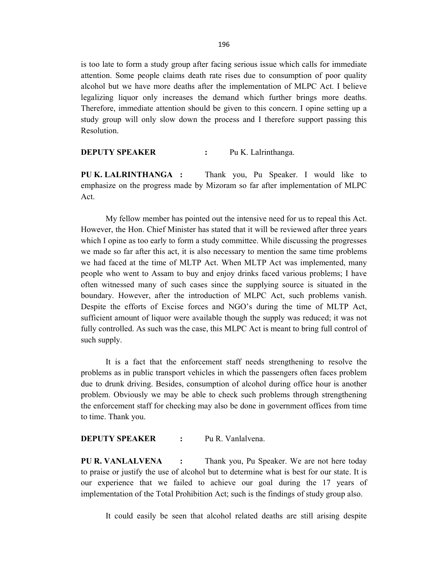is too late to form a study group after facing serious issue which calls for immediate attention. Some people claims death rate rises due to consumption of poor quality alcohol but we have more deaths after the implementation of MLPC Act. I believe legalizing liquor only increases the demand which further brings more deaths. Therefore, immediate attention should be given to this concern. I opine setting up a study group will only slow down the process and I therefore support passing this Resolution.

DEPUTY SPEAKER : Pu K. Lalrinthanga.

PU K. LALRINTHANGA : Thank you, Pu Speaker. I would like to emphasize on the progress made by Mizoram so far after implementation of MLPC Act.

 My fellow member has pointed out the intensive need for us to repeal this Act. However, the Hon. Chief Minister has stated that it will be reviewed after three years which I opine as too early to form a study committee. While discussing the progresses we made so far after this act, it is also necessary to mention the same time problems we had faced at the time of MLTP Act. When MLTP Act was implemented, many people who went to Assam to buy and enjoy drinks faced various problems; I have often witnessed many of such cases since the supplying source is situated in the boundary. However, after the introduction of MLPC Act, such problems vanish. Despite the efforts of Excise forces and NGO's during the time of MLTP Act, sufficient amount of liquor were available though the supply was reduced; it was not fully controlled. As such was the case, this MLPC Act is meant to bring full control of such supply.

 It is a fact that the enforcement staff needs strengthening to resolve the problems as in public transport vehicles in which the passengers often faces problem due to drunk driving. Besides, consumption of alcohol during office hour is another problem. Obviously we may be able to check such problems through strengthening the enforcement staff for checking may also be done in government offices from time to time. Thank you.

### DEPUTY SPEAKER : Pu R. Vanlalvena.

PU R. VANLALVENA : Thank you, Pu Speaker. We are not here today to praise or justify the use of alcohol but to determine what is best for our state. It is our experience that we failed to achieve our goal during the 17 years of implementation of the Total Prohibition Act; such is the findings of study group also.

It could easily be seen that alcohol related deaths are still arising despite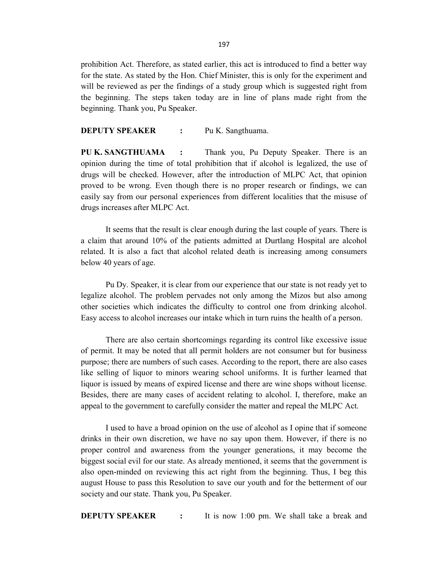prohibition Act. Therefore, as stated earlier, this act is introduced to find a better way for the state. As stated by the Hon. Chief Minister, this is only for the experiment and will be reviewed as per the findings of a study group which is suggested right from the beginning. The steps taken today are in line of plans made right from the beginning. Thank you, Pu Speaker.

**DEPUTY SPEAKER : Pu K. Sangthuama.** 

PU K. SANGTHUAMA : Thank you, Pu Deputy Speaker. There is an opinion during the time of total prohibition that if alcohol is legalized, the use of drugs will be checked. However, after the introduction of MLPC Act, that opinion proved to be wrong. Even though there is no proper research or findings, we can easily say from our personal experiences from different localities that the misuse of drugs increases after MLPC Act.

 It seems that the result is clear enough during the last couple of years. There is a claim that around 10% of the patients admitted at Durtlang Hospital are alcohol related. It is also a fact that alcohol related death is increasing among consumers below 40 years of age.

 Pu Dy. Speaker, it is clear from our experience that our state is not ready yet to legalize alcohol. The problem pervades not only among the Mizos but also among other societies which indicates the difficulty to control one from drinking alcohol. Easy access to alcohol increases our intake which in turn ruins the health of a person.

 There are also certain shortcomings regarding its control like excessive issue of permit. It may be noted that all permit holders are not consumer but for business purpose; there are numbers of such cases. According to the report, there are also cases like selling of liquor to minors wearing school uniforms. It is further learned that liquor is issued by means of expired license and there are wine shops without license. Besides, there are many cases of accident relating to alcohol. I, therefore, make an appeal to the government to carefully consider the matter and repeal the MLPC Act.

 I used to have a broad opinion on the use of alcohol as I opine that if someone drinks in their own discretion, we have no say upon them. However, if there is no proper control and awareness from the younger generations, it may become the biggest social evil for our state. As already mentioned, it seems that the government is also open-minded on reviewing this act right from the beginning. Thus, I beg this august House to pass this Resolution to save our youth and for the betterment of our society and our state. Thank you, Pu Speaker.

**DEPUTY SPEAKER** : It is now 1:00 pm. We shall take a break and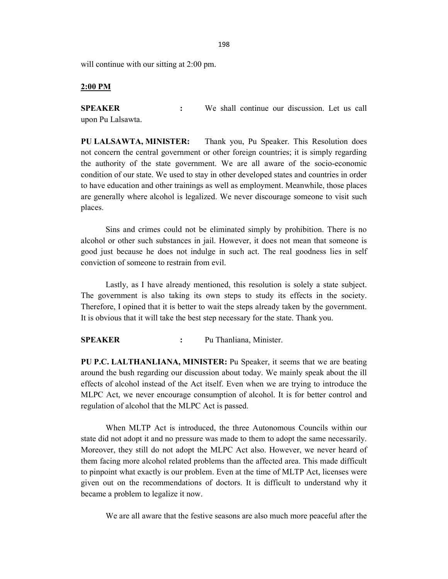will continue with our sitting at 2:00 pm.

#### 2:00 PM

SPEAKER : We shall continue our discussion. Let us call upon Pu Lalsawta.

PU LALSAWTA, MINISTER: Thank you, Pu Speaker. This Resolution does not concern the central government or other foreign countries; it is simply regarding the authority of the state government. We are all aware of the socio-economic condition of our state. We used to stay in other developed states and countries in order to have education and other trainings as well as employment. Meanwhile, those places are generally where alcohol is legalized. We never discourage someone to visit such places.

 Sins and crimes could not be eliminated simply by prohibition. There is no alcohol or other such substances in jail. However, it does not mean that someone is good just because he does not indulge in such act. The real goodness lies in self conviction of someone to restrain from evil.

 Lastly, as I have already mentioned, this resolution is solely a state subject. The government is also taking its own steps to study its effects in the society. Therefore, I opined that it is better to wait the steps already taken by the government. It is obvious that it will take the best step necessary for the state. Thank you.

SPEAKER : Pu Thanliana, Minister.

PU P.C. LALTHANLIANA, MINISTER: Pu Speaker, it seems that we are beating around the bush regarding our discussion about today. We mainly speak about the ill effects of alcohol instead of the Act itself. Even when we are trying to introduce the MLPC Act, we never encourage consumption of alcohol. It is for better control and regulation of alcohol that the MLPC Act is passed.

 When MLTP Act is introduced, the three Autonomous Councils within our state did not adopt it and no pressure was made to them to adopt the same necessarily. Moreover, they still do not adopt the MLPC Act also. However, we never heard of them facing more alcohol related problems than the affected area. This made difficult to pinpoint what exactly is our problem. Even at the time of MLTP Act, licenses were given out on the recommendations of doctors. It is difficult to understand why it became a problem to legalize it now.

We are all aware that the festive seasons are also much more peaceful after the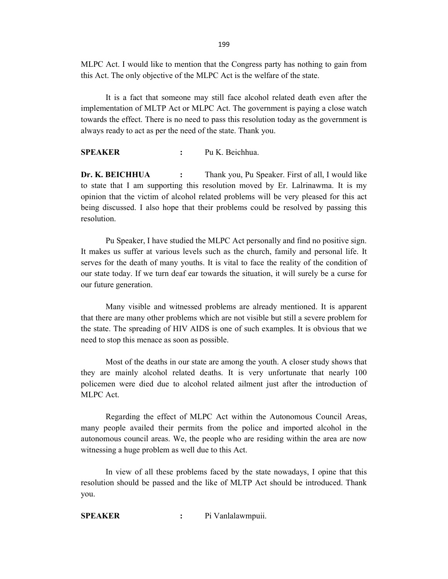MLPC Act. I would like to mention that the Congress party has nothing to gain from this Act. The only objective of the MLPC Act is the welfare of the state.

 It is a fact that someone may still face alcohol related death even after the implementation of MLTP Act or MLPC Act. The government is paying a close watch towards the effect. There is no need to pass this resolution today as the government is always ready to act as per the need of the state. Thank you.

SPEAKER : Pu K. Beichhua.

Dr. K. BEICHHUA : Thank you, Pu Speaker. First of all, I would like to state that I am supporting this resolution moved by Er. Lalrinawma. It is my opinion that the victim of alcohol related problems will be very pleased for this act being discussed. I also hope that their problems could be resolved by passing this resolution.

 Pu Speaker, I have studied the MLPC Act personally and find no positive sign. It makes us suffer at various levels such as the church, family and personal life. It serves for the death of many youths. It is vital to face the reality of the condition of our state today. If we turn deaf ear towards the situation, it will surely be a curse for our future generation.

 Many visible and witnessed problems are already mentioned. It is apparent that there are many other problems which are not visible but still a severe problem for the state. The spreading of HIV AIDS is one of such examples. It is obvious that we need to stop this menace as soon as possible.

 Most of the deaths in our state are among the youth. A closer study shows that they are mainly alcohol related deaths. It is very unfortunate that nearly 100 policemen were died due to alcohol related ailment just after the introduction of MLPC Act.

 Regarding the effect of MLPC Act within the Autonomous Council Areas, many people availed their permits from the police and imported alcohol in the autonomous council areas. We, the people who are residing within the area are now witnessing a huge problem as well due to this Act.

 In view of all these problems faced by the state nowadays, I opine that this resolution should be passed and the like of MLTP Act should be introduced. Thank you.

SPEAKER : Pi Vanlalawmpuii.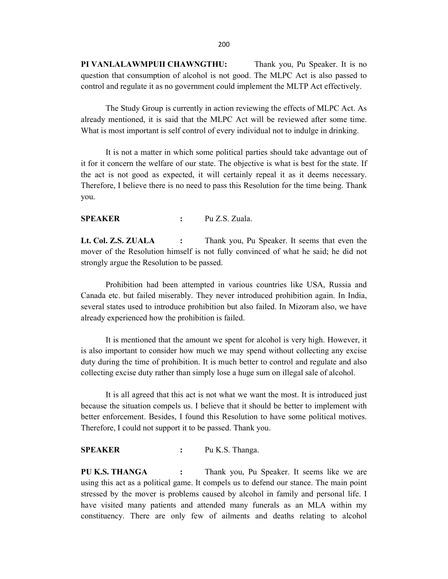PI VANLALAWMPUII CHAWNGTHU: Thank you, Pu Speaker. It is no question that consumption of alcohol is not good. The MLPC Act is also passed to control and regulate it as no government could implement the MLTP Act effectively.

 The Study Group is currently in action reviewing the effects of MLPC Act. As already mentioned, it is said that the MLPC Act will be reviewed after some time. What is most important is self control of every individual not to indulge in drinking.

 It is not a matter in which some political parties should take advantage out of it for it concern the welfare of our state. The objective is what is best for the state. If the act is not good as expected, it will certainly repeal it as it deems necessary. Therefore, I believe there is no need to pass this Resolution for the time being. Thank you.

### SPEAKER : Pu Z.S. Zuala.

Lt. Col. Z.S. ZUALA : Thank you, Pu Speaker. It seems that even the mover of the Resolution himself is not fully convinced of what he said; he did not strongly argue the Resolution to be passed.

 Prohibition had been attempted in various countries like USA, Russia and Canada etc. but failed miserably. They never introduced prohibition again. In India, several states used to introduce prohibition but also failed. In Mizoram also, we have already experienced how the prohibition is failed.

 It is mentioned that the amount we spent for alcohol is very high. However, it is also important to consider how much we may spend without collecting any excise duty during the time of prohibition. It is much better to control and regulate and also collecting excise duty rather than simply lose a huge sum on illegal sale of alcohol.

 It is all agreed that this act is not what we want the most. It is introduced just because the situation compels us. I believe that it should be better to implement with better enforcement. Besides, I found this Resolution to have some political motives. Therefore, I could not support it to be passed. Thank you.

#### SPEAKER : Pu K.S. Thanga.

PU K.S. THANGA : Thank you, Pu Speaker. It seems like we are using this act as a political game. It compels us to defend our stance. The main point stressed by the mover is problems caused by alcohol in family and personal life. I have visited many patients and attended many funerals as an MLA within my constituency. There are only few of ailments and deaths relating to alcohol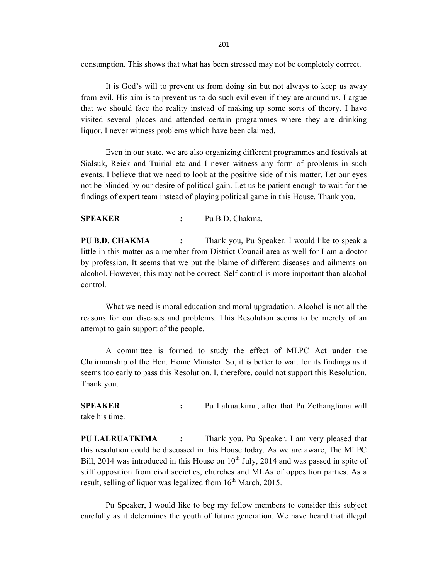consumption. This shows that what has been stressed may not be completely correct.

 It is God's will to prevent us from doing sin but not always to keep us away from evil. His aim is to prevent us to do such evil even if they are around us. I argue that we should face the reality instead of making up some sorts of theory. I have visited several places and attended certain programmes where they are drinking liquor. I never witness problems which have been claimed.

 Even in our state, we are also organizing different programmes and festivals at Sialsuk, Reiek and Tuirial etc and I never witness any form of problems in such events. I believe that we need to look at the positive side of this matter. Let our eyes not be blinded by our desire of political gain. Let us be patient enough to wait for the findings of expert team instead of playing political game in this House. Thank you.

### SPEAKER : Pu B.D. Chakma.

PU B.D. CHAKMA : Thank you, Pu Speaker. I would like to speak a little in this matter as a member from District Council area as well for I am a doctor by profession. It seems that we put the blame of different diseases and ailments on alcohol. However, this may not be correct. Self control is more important than alcohol control.

 What we need is moral education and moral upgradation. Alcohol is not all the reasons for our diseases and problems. This Resolution seems to be merely of an attempt to gain support of the people.

 A committee is formed to study the effect of MLPC Act under the Chairmanship of the Hon. Home Minister. So, it is better to wait for its findings as it seems too early to pass this Resolution. I, therefore, could not support this Resolution. Thank you.

SPEAKER : Pu Lalruatkima, after that Pu Zothangliana will take his time.

PU LALRUATKIMA : Thank you, Pu Speaker. I am very pleased that this resolution could be discussed in this House today. As we are aware, The MLPC Bill, 2014 was introduced in this House on  $10^{th}$  July, 2014 and was passed in spite of stiff opposition from civil societies, churches and MLAs of opposition parties. As a result, selling of liquor was legalized from  $16<sup>th</sup>$  March, 2015.

 Pu Speaker, I would like to beg my fellow members to consider this subject carefully as it determines the youth of future generation. We have heard that illegal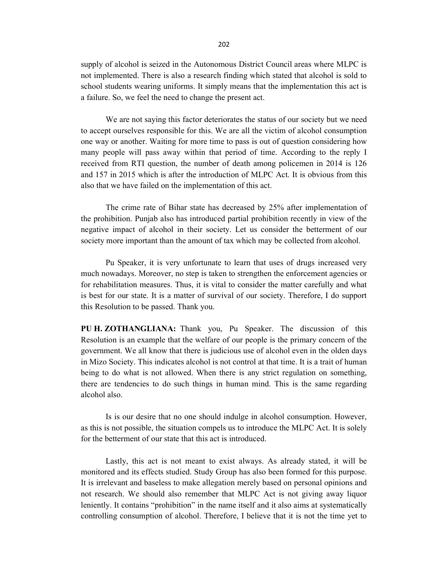supply of alcohol is seized in the Autonomous District Council areas where MLPC is not implemented. There is also a research finding which stated that alcohol is sold to school students wearing uniforms. It simply means that the implementation this act is a failure. So, we feel the need to change the present act.

 We are not saying this factor deteriorates the status of our society but we need to accept ourselves responsible for this. We are all the victim of alcohol consumption one way or another. Waiting for more time to pass is out of question considering how many people will pass away within that period of time. According to the reply I received from RTI question, the number of death among policemen in 2014 is 126 and 157 in 2015 which is after the introduction of MLPC Act. It is obvious from this also that we have failed on the implementation of this act.

 The crime rate of Bihar state has decreased by 25% after implementation of the prohibition. Punjab also has introduced partial prohibition recently in view of the negative impact of alcohol in their society. Let us consider the betterment of our society more important than the amount of tax which may be collected from alcohol.

 Pu Speaker, it is very unfortunate to learn that uses of drugs increased very much nowadays. Moreover, no step is taken to strengthen the enforcement agencies or for rehabilitation measures. Thus, it is vital to consider the matter carefully and what is best for our state. It is a matter of survival of our society. Therefore, I do support this Resolution to be passed. Thank you.

PU H. ZOTHANGLIANA: Thank you, Pu Speaker. The discussion of this Resolution is an example that the welfare of our people is the primary concern of the government. We all know that there is judicious use of alcohol even in the olden days in Mizo Society. This indicates alcohol is not control at that time. It is a trait of human being to do what is not allowed. When there is any strict regulation on something, there are tendencies to do such things in human mind. This is the same regarding alcohol also.

 Is is our desire that no one should indulge in alcohol consumption. However, as this is not possible, the situation compels us to introduce the MLPC Act. It is solely for the betterment of our state that this act is introduced.

 Lastly, this act is not meant to exist always. As already stated, it will be monitored and its effects studied. Study Group has also been formed for this purpose. It is irrelevant and baseless to make allegation merely based on personal opinions and not research. We should also remember that MLPC Act is not giving away liquor leniently. It contains "prohibition" in the name itself and it also aims at systematically controlling consumption of alcohol. Therefore, I believe that it is not the time yet to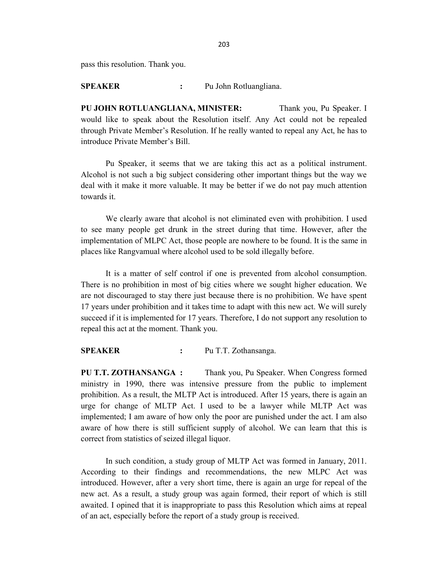pass this resolution. Thank you.

SPEAKER : Pu John Rotluangliana.

PU JOHN ROTLUANGLIANA, MINISTER: Thank you, Pu Speaker. I would like to speak about the Resolution itself. Any Act could not be repealed through Private Member's Resolution. If he really wanted to repeal any Act, he has to introduce Private Member's Bill.

 Pu Speaker, it seems that we are taking this act as a political instrument. Alcohol is not such a big subject considering other important things but the way we deal with it make it more valuable. It may be better if we do not pay much attention towards it.

 We clearly aware that alcohol is not eliminated even with prohibition. I used to see many people get drunk in the street during that time. However, after the implementation of MLPC Act, those people are nowhere to be found. It is the same in places like Rangvamual where alcohol used to be sold illegally before.

 It is a matter of self control if one is prevented from alcohol consumption. There is no prohibition in most of big cities where we sought higher education. We are not discouraged to stay there just because there is no prohibition. We have spent 17 years under prohibition and it takes time to adapt with this new act. We will surely succeed if it is implemented for 17 years. Therefore, I do not support any resolution to repeal this act at the moment. Thank you.

SPEAKER : Pu T.T. Zothansanga.

PU T.T. ZOTHANSANGA : Thank you, Pu Speaker. When Congress formed ministry in 1990, there was intensive pressure from the public to implement prohibition. As a result, the MLTP Act is introduced. After 15 years, there is again an urge for change of MLTP Act. I used to be a lawyer while MLTP Act was implemented; I am aware of how only the poor are punished under the act. I am also aware of how there is still sufficient supply of alcohol. We can learn that this is correct from statistics of seized illegal liquor.

 In such condition, a study group of MLTP Act was formed in January, 2011. According to their findings and recommendations, the new MLPC Act was introduced. However, after a very short time, there is again an urge for repeal of the new act. As a result, a study group was again formed, their report of which is still awaited. I opined that it is inappropriate to pass this Resolution which aims at repeal of an act, especially before the report of a study group is received.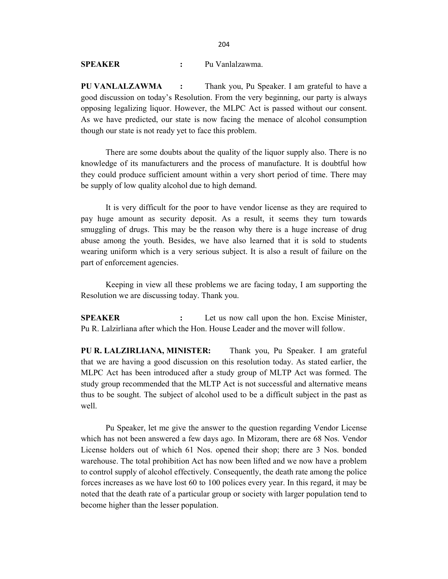SPEAKER : Pu Vanlalzawma.

PU VANLALZAWMA : Thank you, Pu Speaker. I am grateful to have a good discussion on today's Resolution. From the very beginning, our party is always opposing legalizing liquor. However, the MLPC Act is passed without our consent. As we have predicted, our state is now facing the menace of alcohol consumption though our state is not ready yet to face this problem.

 There are some doubts about the quality of the liquor supply also. There is no knowledge of its manufacturers and the process of manufacture. It is doubtful how they could produce sufficient amount within a very short period of time. There may be supply of low quality alcohol due to high demand.

 It is very difficult for the poor to have vendor license as they are required to pay huge amount as security deposit. As a result, it seems they turn towards smuggling of drugs. This may be the reason why there is a huge increase of drug abuse among the youth. Besides, we have also learned that it is sold to students wearing uniform which is a very serious subject. It is also a result of failure on the part of enforcement agencies.

 Keeping in view all these problems we are facing today, I am supporting the Resolution we are discussing today. Thank you.

SPEAKER : Let us now call upon the hon. Excise Minister, Pu R. Lalzirliana after which the Hon. House Leader and the mover will follow.

PU R. LALZIRLIANA, MINISTER: Thank you, Pu Speaker. I am grateful that we are having a good discussion on this resolution today. As stated earlier, the MLPC Act has been introduced after a study group of MLTP Act was formed. The study group recommended that the MLTP Act is not successful and alternative means thus to be sought. The subject of alcohol used to be a difficult subject in the past as well.

 Pu Speaker, let me give the answer to the question regarding Vendor License which has not been answered a few days ago. In Mizoram, there are 68 Nos. Vendor License holders out of which 61 Nos. opened their shop; there are 3 Nos. bonded warehouse. The total prohibition Act has now been lifted and we now have a problem to control supply of alcohol effectively. Consequently, the death rate among the police forces increases as we have lost 60 to 100 polices every year. In this regard, it may be noted that the death rate of a particular group or society with larger population tend to become higher than the lesser population.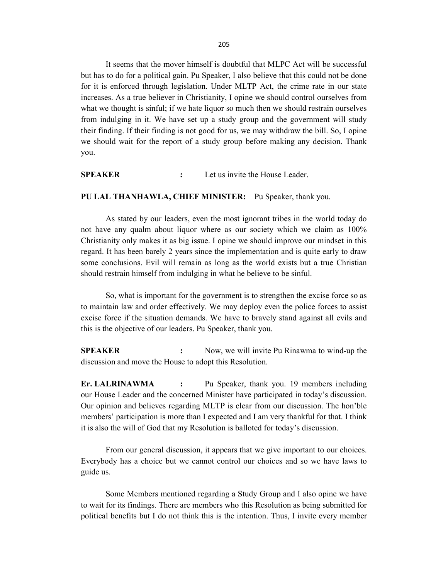It seems that the mover himself is doubtful that MLPC Act will be successful but has to do for a political gain. Pu Speaker, I also believe that this could not be done for it is enforced through legislation. Under MLTP Act, the crime rate in our state increases. As a true believer in Christianity, I opine we should control ourselves from what we thought is sinful; if we hate liquor so much then we should restrain ourselves from indulging in it. We have set up a study group and the government will study their finding. If their finding is not good for us, we may withdraw the bill. So, I opine we should wait for the report of a study group before making any decision. Thank you.

SPEAKER : Let us invite the House Leader.

#### PU LAL THANHAWLA, CHIEF MINISTER: Pu Speaker, thank you.

 As stated by our leaders, even the most ignorant tribes in the world today do not have any qualm about liquor where as our society which we claim as 100% Christianity only makes it as big issue. I opine we should improve our mindset in this regard. It has been barely 2 years since the implementation and is quite early to draw some conclusions. Evil will remain as long as the world exists but a true Christian should restrain himself from indulging in what he believe to be sinful.

So, what is important for the government is to strengthen the excise force so as to maintain law and order effectively. We may deploy even the police forces to assist excise force if the situation demands. We have to bravely stand against all evils and this is the objective of our leaders. Pu Speaker, thank you.

SPEAKER : Now, we will invite Pu Rinawma to wind-up the discussion and move the House to adopt this Resolution.

Er. LALRINAWMA : Pu Speaker, thank you. 19 members including our House Leader and the concerned Minister have participated in today's discussion. Our opinion and believes regarding MLTP is clear from our discussion. The hon'ble members' participation is more than I expected and I am very thankful for that. I think it is also the will of God that my Resolution is balloted for today's discussion.

 From our general discussion, it appears that we give important to our choices. Everybody has a choice but we cannot control our choices and so we have laws to guide us.

 Some Members mentioned regarding a Study Group and I also opine we have to wait for its findings. There are members who this Resolution as being submitted for political benefits but I do not think this is the intention. Thus, I invite every member